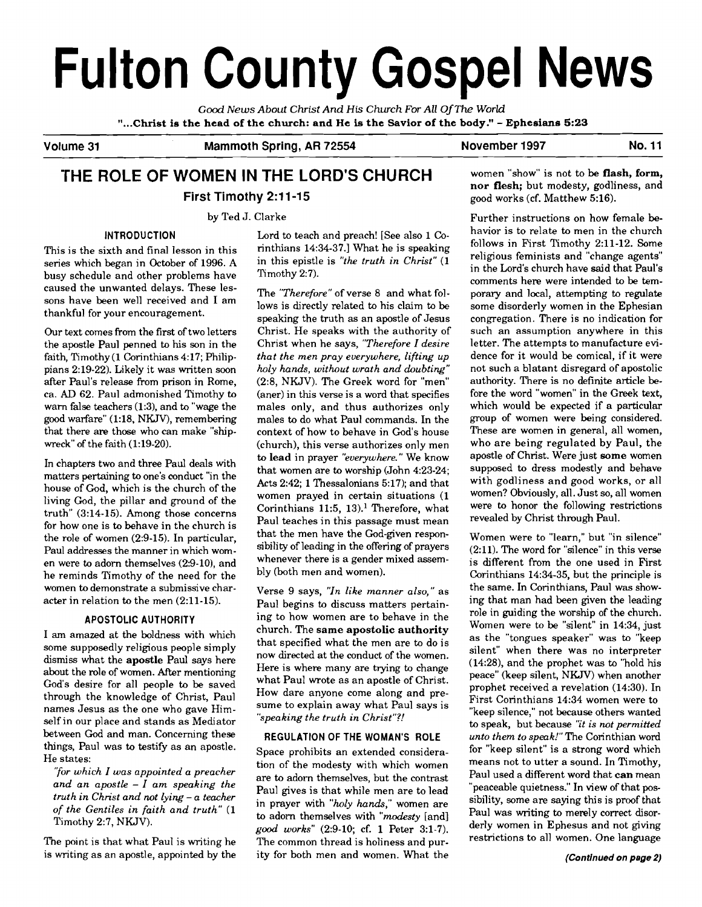# **Fulton County Gospel News**

*Good News About Christ And* **His** *Church For All* **Of** *The World*  **"...Christ is the head of the church: and He is the Savior of the body."** - **Ephesians 5:23** 

**Volume 31 Mammoth Spring, AR 72554 November 1997 No. 11** 

# **THE ROLE OF WOMEN IN THE LORD'S CHURCH** women "show" is not to be flash, form, **First Timothy 2:11-15** good works (cf. Matthew 5:16).

### **INTRODUCTION**

This is the sixth and final lesson in this series which began in October of 1996. A busy schedule and other problems have caused the unwanted delays. These lessons have been well received and I am thankful for your encouragement.

Our text comes from the first of two letters the apostle Paul penned to his son in the faith, Timothy (1 Corinthians 4:17; Philippians 2:19-22). Likely it was written soon after Paul's release from prison in Rome, ca. AD 62. Paul admonished Timothy to warn false teachers (1:3), and to "wage the good warfare" (1:18, NKJV), remembering that there are those who can make "shipwreck" of the faith (1:19-20).

In chapters two and three Paul deals with matters pertaining to one's conduct "in the house of God, which is the church of the living God, the pillar and ground of the truth" (3:14-15). Among those concerns for how one is to behave in the church is the role of women (2:9-15). In particular, Paul addresses the manner in which women were to adorn themselves (2:9-10), and he reminds Timothy of the need for the women to demonstrate a submissive character in relation to the men (2:ll-15).

#### **APOSTOLIC AUTHORITY**

I am amazed at the boldness with which some supposedly religious people simply dismiss what the **apostle** Paul says here about the role of women. After mentioning God's desire for all people to be saved through the knowledge of Christ, Paul names Jesus as the one who gave Himself in our place and stands as Mediator between God and man. Concerning these things, Paul was to testify as an apostle. He states:

*'Tor which I was appointed a preacher and an apostle* - *I am speaking the truth in Christ and not lying* - *a teacher of the Gentiles in faith and truth"* (1 Timothy 2:7, NKJV).

The point is that what Paul is writing he is writing as an apostle, appointed by the Lord to teach and preach! [See also 1 Corinthians 14:34-37.1 What he is speaking in this epistle is *"the truth in Christ"* (1 Timothy 2:7).

The *"Therefore"* of verse 8 and what follows is directly related to his claim to be speaking the truth as an apostle of Jesus Christ. He speaks with the authority of Christ when he says, *"Therefore* I *desire that the men pray everywhere, lifting up holy hands, without wrath and doubting"*  (2:8, NKJV). The Greek word for "men" (aner) in this verse is a word that specifies males only, and thus authorizes only males to do what Paul commands. In the context of how to behave in God's house (church), this verse authorizes only men to lead in prayer "everywhere." We know that women are to worship (John 4:23-24; Acts 2:42; 1 Thessalonians 5:17): and that women prayed in certain situations (1 Corinthians 11:5, 13).' Therefore, what Paul teaches in this passage must mean that the men have the God-given responsibility of leading in the offering of prayers whenever there is a gender mixed assembly (both men and women).

Verse 9 says, *"In like manner also,"* as Paul begins to discuss matters pertaining to how women are to behave in the church. The **same apostolic authority**  that specified what the men are to do is now directed at the conduct of the women. Here is where many are trying to change what Paul wrote as an apostle of Christ. How dare anyone come along and presume to explain away what Paul says is *"speaking the truth in Christ"?!* 

## **REGULATION OF THE WOMAN'S ROLE**

Space prohibits an extended consideration of the modesty with which women are to adorn themselves, but the contrast Paul gives is that while men are to lead in prayer with *"holy hands,"* women are to adorn themselves with *"modesty* [and] *good works"* (2:9-10; cf. 1 Peter 3:l-7). The common thread is holiness and purity for both men and women. What the **nor flesh;** but modesty, godliness, and

by Ted J. Clarke **Further instructions on how female be**havior is to relate to men in the church follows in First Timothy 2:ll-12. Some religious feminists and "change agents" in the Lord's church have said that Paul's comments here were intended to be temporary and local, attempting to regulate some disorderly women in the Ephesian congregation. There is no indication for such an assumption anywhere in this letter. The attempts to manufacture evidence for it would be comical, if it were not such a blatant disregard of apostolic authority. There is no definite article before the word "women" in the Greek text, which would be expected if a particular group of women were being considered. These are women in general, all women, who are being regulated by Paul, the apostle of Christ. Were just **some** women supposed to dress modestly and behave with godliness and good works, or all women? Obviously, all. Just so, all women were to honor the following restrictions revealed by Christ through Paul.

> Women were to "learn," but "in silence" (2:ll). The word for "silence" in this verse is different from the one used in First Corinthians 14:34-35, but the principle is the same. In Corinthians, Paul was showing that man had been given the leading role in guiding the worship of the church. Women were to be "silent" in 14:34, just as the "tongues speaker" was to "keep silent" when there was no interpreter (14:28), and the prophet was to "hold his peace" (keep silent, NKJV) when another prophet received a revelation (14:30). In First Corinthians 14:34 women were to "keep silence," not because others wanted to speak, but because *"it is not permitted unto them to speak!"The* Corinthian word for "keep silent" is a strong word which means not to utter a sound. In Timothy, Paul used a different word that **can** mean "peaceable quietness." In view of that possibility, some are saying this is proof that Paul was writing to merely correct disorderly women in Ephesus and not giving restrictions to all women. One language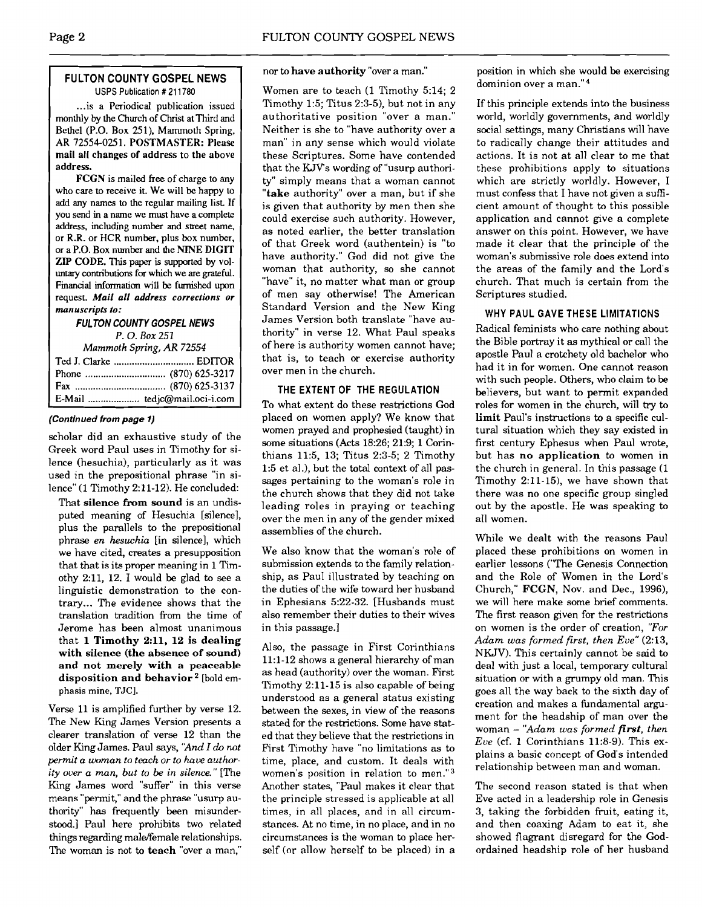### **FULTON COUNTY GOSPEL NEWS**  USPS Publication # 21 1780

... is a Periodical publication issued monthly by the Church of Christ at Third and Bethel (P.O. Box 251). Mammoth Spring. AR 72554-0251. **POSTMASTER:** Please mail all changes of address to the above address.

**FCGN** is mailed **free** of charge to any who care to receive it. We will be happy to add any names to the regular mailing list If you send in a name we must have a complete address, including number and street name, or R.R. or HCR number, plus box number, or a P.O. Box number **and** the **NINE DIGIT**  ZIP CODE. This paper is supported by voluntary contributions for which we are grateful. **Financial information** will be furnished upon request. **Mail all address corrections or manuscripts to:** 

## **FULTON COUNTY GOSPEL NEWS**

*P.* 0. *Box* 251

| Mammoth Spring, AR 72554 |                              |  |
|--------------------------|------------------------------|--|
|                          |                              |  |
|                          |                              |  |
|                          |                              |  |
|                          | E-Mail  tedjc@mail.oci-i.com |  |

#### **(Continued from page 1)**

scholar did an exhaustive study of the Greek word Paul uses in Timothy for silence (hesuchia), particularly as it was used in the prepositional phrase "in silence" (1 Timothy 2:ll-12). He concluded:

That **silence from sound** is an undisputed meaning of Hesuchia [silence], plus the parallels to the prepositional phrase *en heswhia* [in silence], which we have cited, creates a presupposition that that is its proper meaning in 1 Timothy  $2:11$ , 12. I would be glad to see a linguistic demonstration to the contrary ... The evidence shows that the translation tradition from the time of Jerome has been almost unanimous that 1 **Timothy 2:11, 12 is dealing with silence (the absence of sound) and not merely with a peaceable**  disposition and behavior<sup>2</sup> [bold emphasis mine, TJC].

Verse 11 is amplified further by verse 12. The New King James Version presents a clearer translation of verse 12 than the older King James. Paul says, **'And** *I* do *not permit a woman to teach or to have authority over a man, but to be in silence."* [The King James word "suffer" in this verse means "permit," and the phrase "usurp authority" has frequently been misunderstood.] Paul here prohibits two related things regarding male/female relationships. The woman is not to **teach** "over a man,"

nor to **have authority** "over a man."

Women are to teach (1 Timothy 5:14; 2 Timothy 1:5; Titus 2:3-5), but not in any authoritative position "over a man." Neither is she to "have authority over a man" in any sense which would violate these Scriptures. Some have contended that the KJVs wording of "usurp authority" simply means that a woman cannot **"take** authority" over a man, but if she is given that authority by men then she could exercise such authority. However, as noted earlier, the better translation of that Greek word (authentein) is "to have authority." God did not give the woman that authority, so she cannot "have" it, no matter what man or group of men say otherwise! The American Standard Version and the New King James Version both translate "have authority" in verse 12. What Paul speaks of here is authority women cannot have; that is, to teach or exercise authority over men in the church.

### **THE EXTENT OF THE REGULATION**

To what extent do these restrictions God placed on women apply? We know that women prayed and prophesied (taught) in some situations (Acts 18:26; 21:9; 1 Corinthians 11:5, 13; Titus 2:3-5; 2 Timothy 1:5 et al.), but the **total** context of all passages pertaining to the woman's role in the church shows that they did not take leading roles in praying or teaching over the men in any of the gender mixed assemblies of the church.

We also know that the woman's role of submission extends to the family relationship, as Paul illustrated by teaching on the duties of the wife toward her husband in Ephesians 5:22-32. [Husbands must also remember their duties to their wives in this passage.]

Also, the passage in First Corinthians 11:l-12 shows a general hierarchy of man as head (authority) over the woman. First Timothy  $2:11-15$  is also capable of being understood as a general status existing between the sexes, in view of the reasons stated for the restrictions. Some have stated that they believe that the restrictions in First Timothy have "no limitations as to time, place, and custom. It deals with women's position in relation to men."3 Another states, "Paul makes it clear that the principle stressed is applicable at all times, in all places, and in all circumstances. At no time, in no place, and in no circumstances is the woman to place herself (or allow herself to be placed) in a position in which she would be exercising dominion over a man."4

If this principle extends into the business world, worldly governments, and worldly social settings, many Christians will have to radically change their attitudes and actions. It is not at all clear to me that these prohibitions apply to situations which are strictly worldly. However, I must confess that I have not given a sufficient amount of thought to this possible application and cannot give a complete answer on this point. However, we have made it clear that the principle of the woman's submissive role does extend into the areas of the family and the Lord's church. That much is certain from the Scriptures studied.

### **WHY PAUL GAVE THESE LIMITATIONS**

Radical feminists who care nothing about the Bible portray it as mythical or call the apostle Paul a crotchety old bachelor who had it in for women. One cannot reason with such people. Others, who claim to be believers, but want to permit expanded roles for women in the church, will try to **limit** Paul's instructions **to** a specific cultural situation which they say existed in first century Ephesus when Paul wrote, but has **no application** to women in the church in general. In this passage (1 Timothy 2:ll-15), we have shown that there was no one specific group singled out by the apostle. He was speaking to all women.

While we dealt with the reasons Paul placed these prohibitions on women in earlier lessons ("The Genesis Connection and the Role of Women in the Lord's Church," FCGN, Nov. and Dec., 1996), we will here make some brief comments. The first reason given for the restrictions on women is the order of creation, *"For Adam was formed first, then Eve"* (213, NKJV). This certainly cannot be said to deal with just a local, temporary cultural situation or with a grumpy old man. This goes all the way back to the sixth day of creation and makes a fundamental argument for the headship of man over the woman - *"Adam was formed first, then*   $Eve$  (cf. 1 Corinthians 11:8-9). This explains a basic concept of God's intended relationship between man and woman.

The second reason stated is that when Eve acted in a leadership role in Genesis 3, taking the forbidden fruit, eating it, and then coaxing Adam to eat it, she showed flagrant disregard for the Godordained headship role of her husband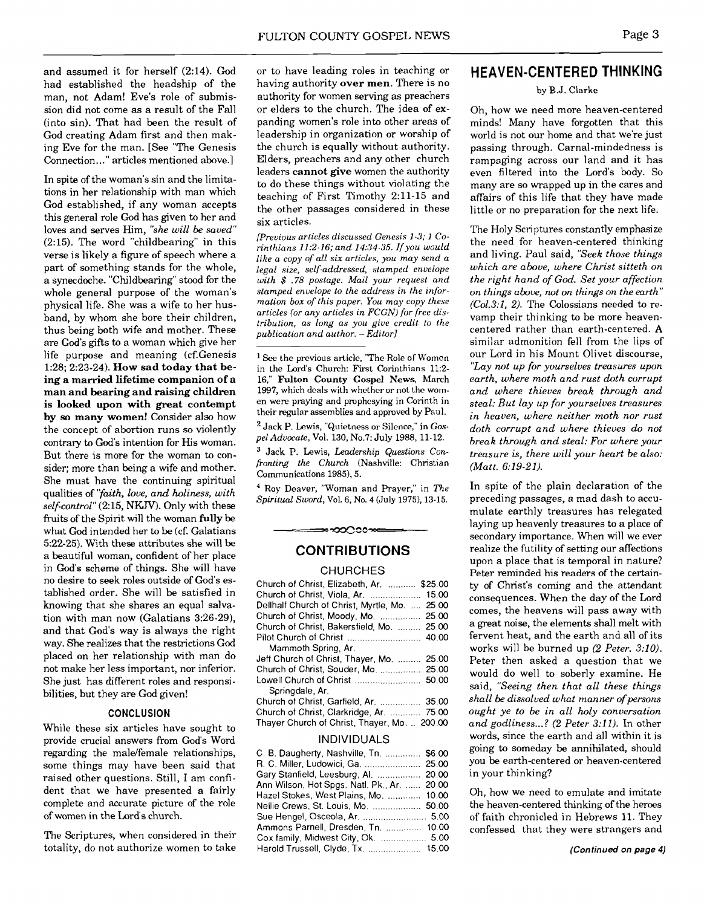and assumed it for herself (2:14). God had established the headship of the man, not Adam! Eve's role of submission did not come as a result of the Fall (into sin). That had been the result of God creating Adam first and then making Eve for the man. [See "The Genesis Connection. .." articles mentioned above.]

In spite of the woman's sin and the limitations in her relationship with man which God established, if any woman accepts this general role God has given to her and loves and serves Him, *"she will be saved"*  (2:15). The word "childbearing" in this verse is likely a figure of speech where a part of something stands for the whole, a synecdoche. "Childbearing" stood for the whole general purpose of the woman's physical life. She was a wife to her husband, by whom she bore their children, thus being both wife and mother. These are God's gifts to a woman which give her life purpose and meaning (cf.Genesis 1:28; 2:23-24). **How sad today that being a married lifetime companion of a man and bearing and raising children is looked upon with great contempt by so many women!** Consider also how the concept of abortion runs so violently contrary to God's intention for His woman. But there is more for the woman to consider; more than being a wife and mother. She must have the continuing spiritual qualities of *'yaith, love, and holiness, with self-control"* (2:15, NKJV). Only with these fruits of the Spirit will the woman **fully** be what God intended her to be (cf. Galatians 5:22-25). With these attributes she will be a beautiful woman, confident of her place in God's scheme of things. She will have no desire to seek roles outside of God's established order. She will be satisfied in knowing that she shares an equal salvation with man now (Galatians 3:26-29), and that God's way is always the right way. She realizes that the restrictions God placed on her relationship with man do not make her less important, nor inferior. She just has different roles and responsibilities, but they are God given!

#### **CONCLUSION**

While these six articles have sought to provide crucial answers from God's Word regarding the male/female relationships, some things may have been said that raised other questions. Still, I am confident that we have presented a fairly complete and accurate picture of the role of women in the Lord's church.

The Scriptures, when considered in their totality, do not authorize women to take

or to have leading roles in teaching or having authority **over men.** There is no authority for women serving as preachers or elders to the church. The idea of expanding women's role into other areas of leadership in organization or worship of the church is equally without authority. Elders, preachers and any other church leaders **cannot give** women the authority to do these things without violating the teaching of First Timothy 2:ll-15 and the other passages considered in these six articles.

*[Previous articles discussed Genesis 1-3; 1 Corinthians II:2-16; and 14:34-35. Ifyou would like a copy of all six arlicles, you may send a legal size, self-addressed, stamped envelope with* \$ *.78 postage. Mail your request and stamped envelope to the address in the informalion box of this paper. You may copy these articles (or any articles in FCGN) for free distribution, as long as you give credit to the publication and author. -Editor]* 

<sup>1</sup> See the previous article, "The Role of Women in the Lord's Church: First Corinthians 11:2- 16," **Fulton County Gospel News,** March **1997,** which deals with whether or not the women were praying and prophesying in Corinth in their regular assemblies and approved by Paul.

Jack P. Lewis, "Quietness or Silence," in *Gospel Adurnale,* Val. 130, No.7: July 1988, 11-12.

Jack P. Lewis, *Leadership Questions Confronting the Church* (Nashville: Christian Communications 1985), 5.

Roy Deaver, "Woman and Prayer," in *The Spiritual Sword, Vol. 6, No.* 4 (July **1975),** 13-15.

## ≈∞೦೦೦∞≈ CONTRIBUTIONS

#### CHURCHES

| Church of Christ, Elizabeth, Ar.  \$25.00       |
|-------------------------------------------------|
| Church of Christ, Viola, Ar.<br>15.00           |
| Dellhalf Church of Christ, Myrtle, Mo.<br>25.00 |
| Church of Christ, Moody, Mo.  25.00             |
| Church of Christ, Bakersfield, Mo.  25.00       |
| Pilot Church of Christ  40.00                   |
| Mammoth Spring, Ar.                             |
| Jeff Church of Christ, Thayer, Mo.  25.00       |
| Church of Christ, Souder, Mo.  25.00            |
| Lowell Church of Christ<br>50.00                |
| Springdale, Ar.                                 |
| Church of Christ, Garfield, Ar.  35.00          |
| Church of Christ, Clarkridge, Ar.  75.00        |
| Thayer Church of Christ, Thayer, Mo.  200.00    |
|                                                 |

### INDIVIDUALS

| C. B. Daugherty, Nashville, Tn.  \$6.00     |  |
|---------------------------------------------|--|
| R. C. Miller, Ludowici, Ga.  25.00          |  |
| Gary Stanfield, Leesburg, Al.  20.00        |  |
| Ann Wilson, Hot Spgs. Natl. Pk., Ar.  20.00 |  |
| Hazel Stokes, West Plains, Mo.  10.00       |  |
| Nellie Crews, St. Louis, Mo.  50.00         |  |
| Sue Hengel, Osceola, Ar.  5.00              |  |
| Ammons Parnell, Dresden, Tn.  10.00         |  |
|                                             |  |
| Harold Trussell, Clyde, Tx.  15.00          |  |

## HEAVEN-CENTERED THINKING

#### by B.J. **Clarke**

Oh, how we need more heaven-centered minds! Many have forgotten that this world is not our home and that we're just passing through. Carnal-mindedness is rampaging across our land and it has even filtered into the Lord's body. So many are so wrapped up in the cares and affairs of this life that they have made little or no preparation for the next life.

The Holy Scriptures constantly emphasize the need for heaven-centered thinking and living. Paul said, *"Seek those things which are above, where Christ sitteth on the right hand of* **God.** *Set your affection on things above, not on things on the earth" (Co1.3:1, 2).* The Colossians needed to revamp their thinking to be more heavencentered rather than earth-centered. **A**  similar admonition fell from the lips of our Lord in his Mount Olivet discourse, *"Lay not up for yourselves treasures upon earth, where moth and rust doth corrupt and where thieves break through and steal: But lay up for yourselves treasures in heaven, where neither moth nor rust doth corrupt and where thieves do not break through and steal: For where your treasure is, there will your heart be also: (Matt. 6:19-21).* 

In spite of the plain declaration of the preceding passages, a mad dash to accumulate earthly treasures has relegated laying up heavenly treasures to a place of secondary importance. When will we ever realize the futility of setting our affections upon a place that is temporal in nature? Peter reminded his readers of the certainty of Christ's coming and the attendant consequences. When the day of the Lord comes, the heavens will pass away with a great noise, the elements shall melt with fervent heat, and the earth and all of its works will be burned up *(2 Peter. 3:lO).*  Peter then asked a question that we would do well to soberly examine. He said, *"Seeing then that all these things shall be dissolved what manner of persons ought ye to be in all holy conversation and godliness* ... ? *(2 Peter 3:l 1).* In other words, since the earth and all within it is going to someday be annihilated, should you be earth-centered or heaven-centered in your thinking?

Oh, how we need to emulate and imitate the heaven-centered thinking of the heroes of faith chronicled in Hebrews 11. They confessed that they were strangers and